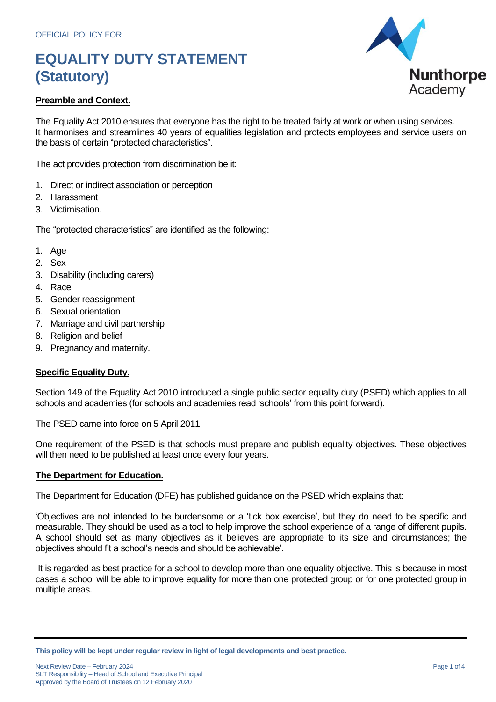

### **Preamble and Context.**

The Equality Act 2010 ensures that everyone has the right to be treated fairly at work or when using services. It harmonises and streamlines 40 years of equalities legislation and protects employees and service users on the basis of certain "protected characteristics".

The act provides protection from discrimination be it:

- 1. Direct or indirect association or perception
- 2. Harassment
- 3. Victimisation.

The "protected characteristics" are identified as the following:

- 1. Age
- 2. Sex
- 3. Disability (including carers)
- 4. Race
- 5. Gender reassignment
- 6. Sexual orientation
- 7. Marriage and civil partnership
- 8. Religion and belief
- 9. Pregnancy and maternity.

### **Specific Equality Duty.**

Section 149 of the Equality Act 2010 introduced a single public sector equality duty (PSED) which applies to all schools and academies (for schools and academies read 'schools' from this point forward).

The PSED came into force on 5 April 2011.

One requirement of the PSED is that schools must prepare and publish equality objectives. These objectives will then need to be published at least once every four years.

#### **The Department for Education.**

The Department for Education (DFE) has published guidance on the PSED which explains that:

'Objectives are not intended to be burdensome or a 'tick box exercise', but they do need to be specific and measurable. They should be used as a tool to help improve the school experience of a range of different pupils. A school should set as many objectives as it believes are appropriate to its size and circumstances; the objectives should fit a school's needs and should be achievable'.

It is regarded as best practice for a school to develop more than one equality objective. This is because in most cases a school will be able to improve equality for more than one protected group or for one protected group in multiple areas.

**This policy will be kept under regular review in light of legal developments and best practice.**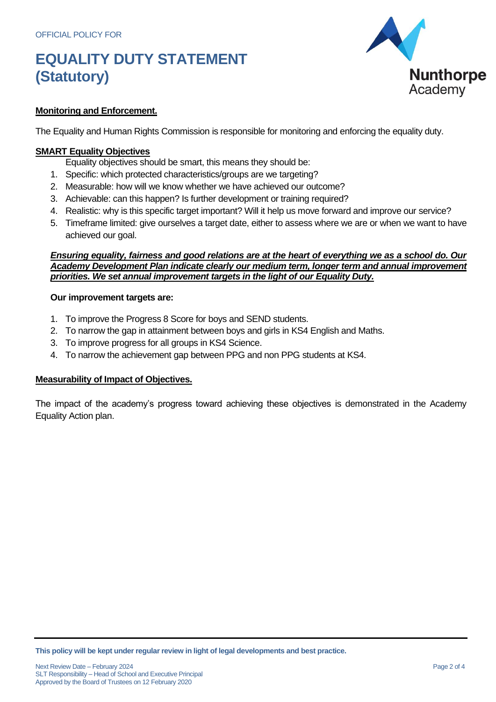

### **Monitoring and Enforcement.**

The Equality and Human Rights Commission is responsible for monitoring and enforcing the equality duty.

### **SMART Equality Objectives**

- Equality objectives should be smart, this means they should be:
- 1. Specific: which protected characteristics/groups are we targeting?
- 2. Measurable: how will we know whether we have achieved our outcome?
- 3. Achievable: can this happen? Is further development or training required?
- 4. Realistic: why is this specific target important? Will it help us move forward and improve our service?
- 5. Timeframe limited: give ourselves a target date, either to assess where we are or when we want to have achieved our goal.

#### *Ensuring equality, fairness and good relations are at the heart of everything we as a school do. Our Academy Development Plan indicate clearly our medium term, longer term and annual improvement priorities. We set annual improvement targets in the light of our Equality Duty.*

#### **Our improvement targets are:**

- 1. To improve the Progress 8 Score for boys and SEND students.
- 2. To narrow the gap in attainment between boys and girls in KS4 English and Maths.
- 3. To improve progress for all groups in KS4 Science.
- 4. To narrow the achievement gap between PPG and non PPG students at KS4.

### **Measurability of Impact of Objectives.**

The impact of the academy's progress toward achieving these objectives is demonstrated in the Academy Equality Action plan.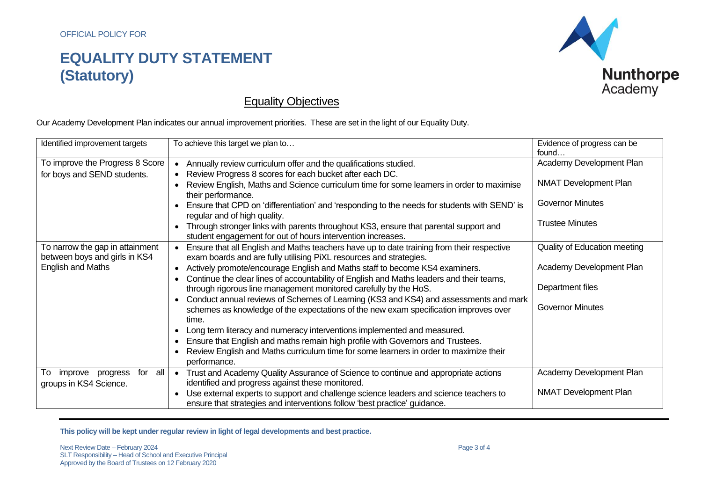

### Equality Objectives

Our Academy Development Plan indicates our annual improvement priorities. These are set in the light of our Equality Duty.

| Identified improvement targets                            | To achieve this target we plan to                                                                                                                                                     | Evidence of progress can be<br>found |
|-----------------------------------------------------------|---------------------------------------------------------------------------------------------------------------------------------------------------------------------------------------|--------------------------------------|
| To improve the Progress 8 Score                           | Annually review curriculum offer and the qualifications studied.                                                                                                                      | Academy Development Plan             |
| for boys and SEND students.                               | Review Progress 8 scores for each bucket after each DC.<br>$\bullet$<br>Review English, Maths and Science curriculum time for some learners in order to maximise                      | <b>NMAT Development Plan</b>         |
|                                                           | their performance.<br>Ensure that CPD on 'differentiation' and 'responding to the needs for students with SEND' is                                                                    | <b>Governor Minutes</b>              |
|                                                           | regular and of high quality.<br>Through stronger links with parents throughout KS3, ensure that parental support and                                                                  | <b>Trustee Minutes</b>               |
| To narrow the gap in attainment                           | student engagement for out of hours intervention increases.<br>Ensure that all English and Maths teachers have up to date training from their respective                              | Quality of Education meeting         |
| between boys and girls in KS4<br><b>English and Maths</b> | exam boards and are fully utilising PiXL resources and strategies.<br>Actively promote/encourage English and Maths staff to become KS4 examiners.<br>$\bullet$                        | Academy Development Plan             |
|                                                           | Continue the clear lines of accountability of English and Maths leaders and their teams,<br>through rigorous line management monitored carefully by the HoS.                          | Department files                     |
|                                                           | Conduct annual reviews of Schemes of Learning (KS3 and KS4) and assessments and mark<br>schemes as knowledge of the expectations of the new exam specification improves over<br>time. | <b>Governor Minutes</b>              |
|                                                           | Long term literacy and numeracy interventions implemented and measured.<br>Ensure that English and maths remain high profile with Governors and Trustees.                             |                                      |
|                                                           | Review English and Maths curriculum time for some learners in order to maximize their<br>performance.                                                                                 |                                      |
| for all<br>improve<br>To<br>progress                      | Trust and Academy Quality Assurance of Science to continue and appropriate actions<br>identified and progress against these monitored.                                                | Academy Development Plan             |
| groups in KS4 Science.                                    | Use external experts to support and challenge science leaders and science teachers to<br>ensure that strategies and interventions follow 'best practice' guidance.                    | <b>NMAT Development Plan</b>         |

**This policy will be kept under regular review in light of legal developments and best practice.**